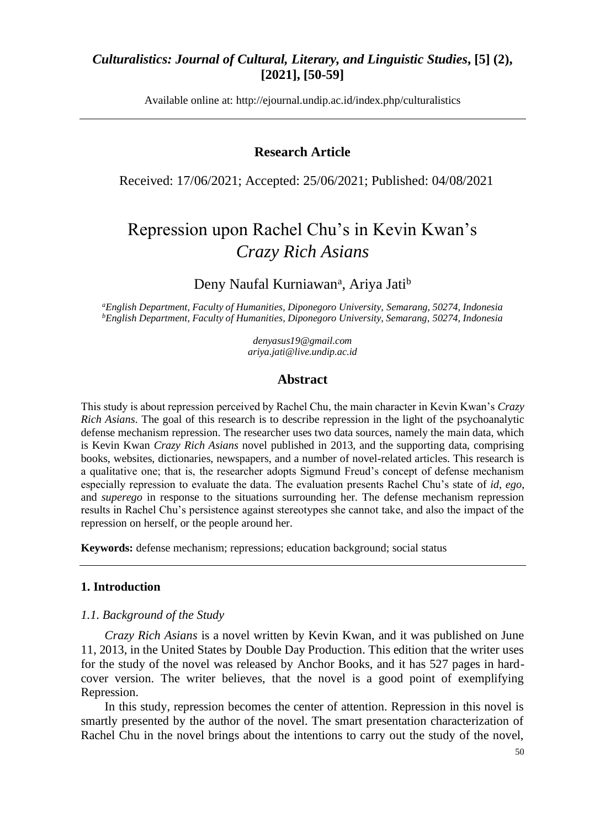Available online at: [http://ejournal.undip.ac.id/index.php/c](http://ejournal.undip.ac.id/index.php/)ulturalistics

# **Research Article**

Received: 17/06/2021; Accepted: 25/06/2021; Published: 04/08/2021

# Repression upon Rachel Chu's in Kevin Kwan's *Crazy Rich Asians*

# Deny Naufal Kurniawan<sup>a</sup>, Ariya Jati<sup>b</sup>

*<sup>a</sup>English Department, Faculty of Humanities, Diponegoro University, Semarang, 50274, Indonesia <sup>b</sup>English Department, Faculty of Humanities, Diponegoro University, Semarang, 50274, Indonesia*

> *[denyasus19@gmail.com](mailto:denyasus19@gmail.com) ariya.jati@live.undip.ac.id*

# **Abstract**

This study is about repression perceived by Rachel Chu, the main character in Kevin Kwan's *Crazy Rich Asians*. The goal of this research is to describe repression in the light of the psychoanalytic defense mechanism repression. The researcher uses two data sources, namely the main data, which is Kevin Kwan *Crazy Rich Asians* novel published in 2013, and the supporting data, comprising books, websites, dictionaries, newspapers, and a number of novel-related articles. This research is a qualitative one; that is, the researcher adopts Sigmund Freud's concept of defense mechanism especially repression to evaluate the data. The evaluation presents Rachel Chu's state of *id*, *ego*, and *superego* in response to the situations surrounding her. The defense mechanism repression results in Rachel Chu's persistence against stereotypes she cannot take, and also the impact of the repression on herself, or the people around her.

**Keywords:** defense mechanism; repressions; education background; social status

# **1. Introduction**

#### *1.1. Background of the Study*

*Crazy Rich Asians* is a novel written by Kevin Kwan, and it was published on June 11, 2013, in the United States by Double Day Production. This edition that the writer uses for the study of the novel was released by Anchor Books, and it has 527 pages in hardcover version. The writer believes, that the novel is a good point of exemplifying Repression.

In this study, repression becomes the center of attention. Repression in this novel is smartly presented by the author of the novel. The smart presentation characterization of Rachel Chu in the novel brings about the intentions to carry out the study of the novel,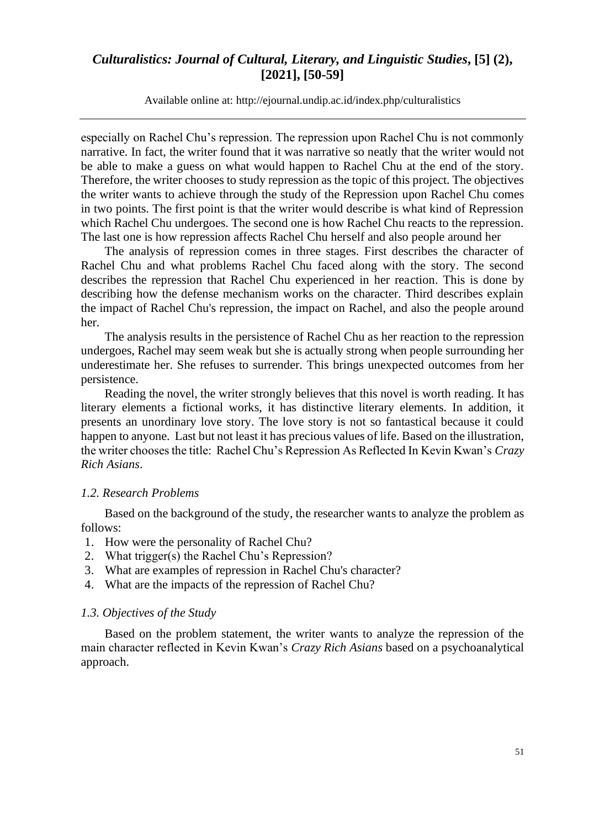Available online at: [http://ejournal.undip.ac.id/index.php/c](http://ejournal.undip.ac.id/index.php/)ulturalistics

especially on Rachel Chu's repression. The repression upon Rachel Chu is not commonly narrative. In fact, the writer found that it was narrative so neatly that the writer would not be able to make a guess on what would happen to Rachel Chu at the end of the story. Therefore, the writer chooses to study repression as the topic of this project. The objectives the writer wants to achieve through the study of the Repression upon Rachel Chu comes in two points. The first point is that the writer would describe is what kind of Repression which Rachel Chu undergoes. The second one is how Rachel Chu reacts to the repression. The last one is how repression affects Rachel Chu herself and also people around her

The analysis of repression comes in three stages. First describes the character of Rachel Chu and what problems Rachel Chu faced along with the story. The second describes the repression that Rachel Chu experienced in her reaction. This is done by describing how the defense mechanism works on the character. Third describes explain the impact of Rachel Chu's repression, the impact on Rachel, and also the people around her.

The analysis results in the persistence of Rachel Chu as her reaction to the repression undergoes, Rachel may seem weak but she is actually strong when people surrounding her underestimate her. She refuses to surrender. This brings unexpected outcomes from her persistence.

Reading the novel, the writer strongly believes that this novel is worth reading. It has literary elements a fictional works, it has distinctive literary elements. In addition, it presents an unordinary love story. The love story is not so fantastical because it could happen to anyone. Last but not least it has precious values of life. Based on the illustration, the writer chooses the title: Rachel Chu's Repression As Reflected In Kevin Kwan's *Crazy Rich Asians*.

### *1.2. Research Problems*

Based on the background of the study, the researcher wants to analyze the problem as follows:

- 1. How were the personality of Rachel Chu?
- 2. What trigger(s) the Rachel Chu's Repression?
- 3. What are examples of repression in Rachel Chu's character?
- 4. What are the impacts of the repression of Rachel Chu?

### *1.3. Objectives of the Study*

Based on the problem statement, the writer wants to analyze the repression of the main character reflected in Kevin Kwan's *Crazy Rich Asians* based on a psychoanalytical approach.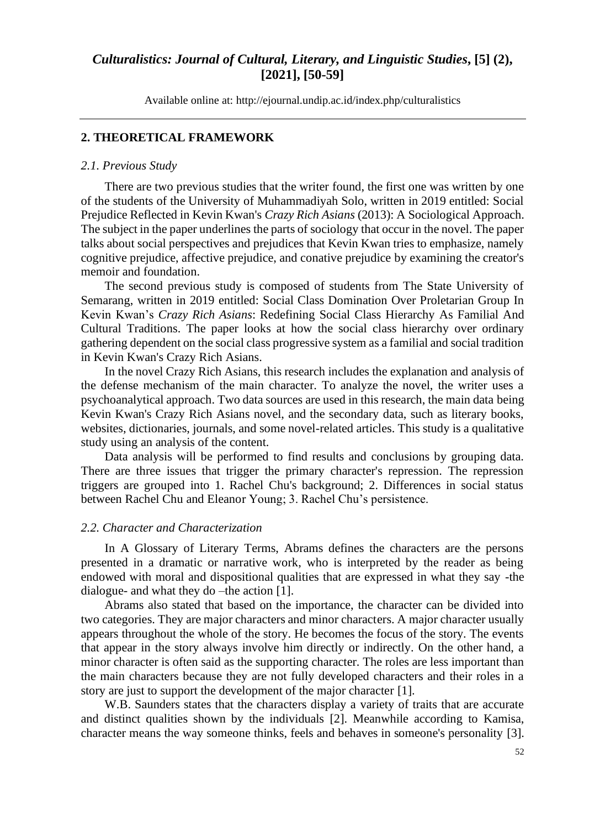Available online at: [http://ejournal.undip.ac.id/index.php/c](http://ejournal.undip.ac.id/index.php/)ulturalistics

# **2. THEORETICAL FRAMEWORK**

#### *2.1. Previous Study*

There are two previous studies that the writer found, the first one was written by one of the students of the University of Muhammadiyah Solo, written in 2019 entitled: Social Prejudice Reflected in Kevin Kwan's *Crazy Rich Asians* (2013): A Sociological Approach. The subject in the paper underlines the parts of sociology that occur in the novel. The paper talks about social perspectives and prejudices that Kevin Kwan tries to emphasize, namely cognitive prejudice, affective prejudice, and conative prejudice by examining the creator's memoir and foundation.

The second previous study is composed of students from The State University of Semarang, written in 2019 entitled: Social Class Domination Over Proletarian Group In Kevin Kwan's *Crazy Rich Asians*: Redefining Social Class Hierarchy As Familial And Cultural Traditions. The paper looks at how the social class hierarchy over ordinary gathering dependent on the social class progressive system as a familial and social tradition in Kevin Kwan's Crazy Rich Asians.

In the novel Crazy Rich Asians, this research includes the explanation and analysis of the defense mechanism of the main character. To analyze the novel, the writer uses a psychoanalytical approach. Two data sources are used in this research, the main data being Kevin Kwan's Crazy Rich Asians novel, and the secondary data, such as literary books, websites, dictionaries, journals, and some novel-related articles. This study is a qualitative study using an analysis of the content.

Data analysis will be performed to find results and conclusions by grouping data. There are three issues that trigger the primary character's repression. The repression triggers are grouped into 1. Rachel Chu's background; 2. Differences in social status between Rachel Chu and Eleanor Young; 3. Rachel Chu's persistence.

#### *2.2. Character and Characterization*

In A Glossary of Literary Terms, Abrams defines the characters are the persons presented in a dramatic or narrative work, who is interpreted by the reader as being endowed with moral and dispositional qualities that are expressed in what they say -the dialogue- and what they do –the action [1].

Abrams also stated that based on the importance, the character can be divided into two categories. They are major characters and minor characters. A major character usually appears throughout the whole of the story. He becomes the focus of the story. The events that appear in the story always involve him directly or indirectly. On the other hand, a minor character is often said as the supporting character. The roles are less important than the main characters because they are not fully developed characters and their roles in a story are just to support the development of the major character [1].

W.B. Saunders states that the characters display a variety of traits that are accurate and distinct qualities shown by the individuals [2]. Meanwhile according to Kamisa, character means the way someone thinks, feels and behaves in someone's personality [3].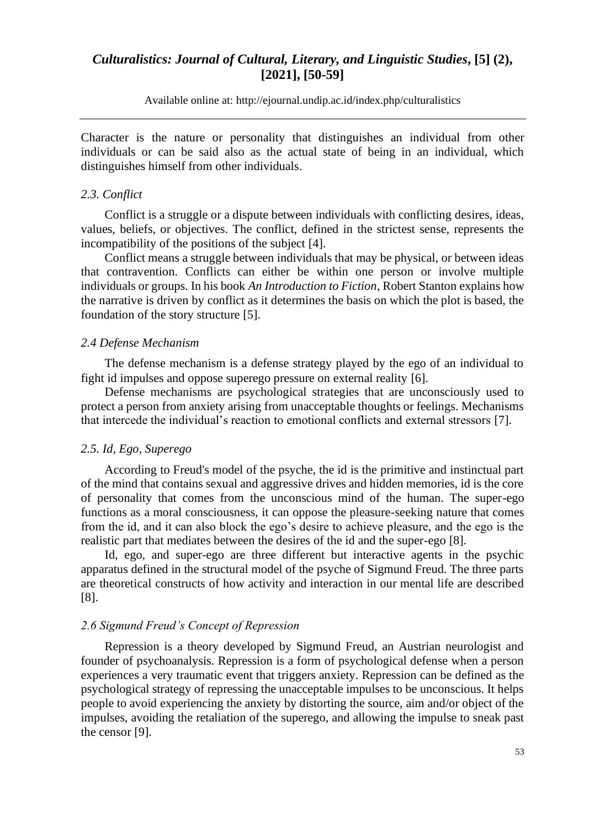Available online at: [http://ejournal.undip.ac.id/index.php/c](http://ejournal.undip.ac.id/index.php/)ulturalistics

Character is the nature or personality that distinguishes an individual from other individuals or can be said also as the actual state of being in an individual, which distinguishes himself from other individuals.

### *2.3. Conflict*

Conflict is a struggle or a dispute between individuals with conflicting desires, ideas, values, beliefs, or objectives. The conflict, defined in the strictest sense, represents the incompatibility of the positions of the subject [4].

Conflict means a struggle between individuals that may be physical, or between ideas that contravention. Conflicts can either be within one person or involve multiple individuals or groups. In his book *An Introduction to Fiction*, Robert Stanton explains how the narrative is driven by conflict as it determines the basis on which the plot is based, the foundation of the story structure [5].

#### *2.4 Defense Mechanism*

The defense mechanism is a defense strategy played by the ego of an individual to fight id impulses and oppose superego pressure on external reality [6].

Defense mechanisms are psychological strategies that are unconsciously used to protect a person from anxiety arising from unacceptable thoughts or feelings. Mechanisms that intercede the individual's reaction to emotional conflicts and external stressors [7].

### *2.5. Id, Ego, Superego*

According to Freud's model of the psyche, the id is the primitive and instinctual part of the mind that contains sexual and aggressive drives and hidden memories, id is the core of personality that comes from the unconscious mind of the human. The super-ego functions as a moral consciousness, it can oppose the pleasure-seeking nature that comes from the id, and it can also block the ego's desire to achieve pleasure, and the ego is the realistic part that mediates between the desires of the id and the super-ego [8].

Id, ego, and super-ego are three different but interactive agents in the psychic apparatus defined in the structural model of the psyche of Sigmund Freud. The three parts are theoretical constructs of how activity and interaction in our mental life are described [8].

#### *2.6 Sigmund Freud's Concept of Repression*

Repression is a theory developed by Sigmund Freud, an Austrian neurologist and founder of psychoanalysis. Repression is a form of psychological defense when a person experiences a very traumatic event that triggers anxiety. Repression can be defined as the psychological strategy of repressing the unacceptable impulses to be unconscious. It helps people to avoid experiencing the anxiety by distorting the source, aim and/or object of the impulses, avoiding the retaliation of the superego, and allowing the impulse to sneak past the censor [9].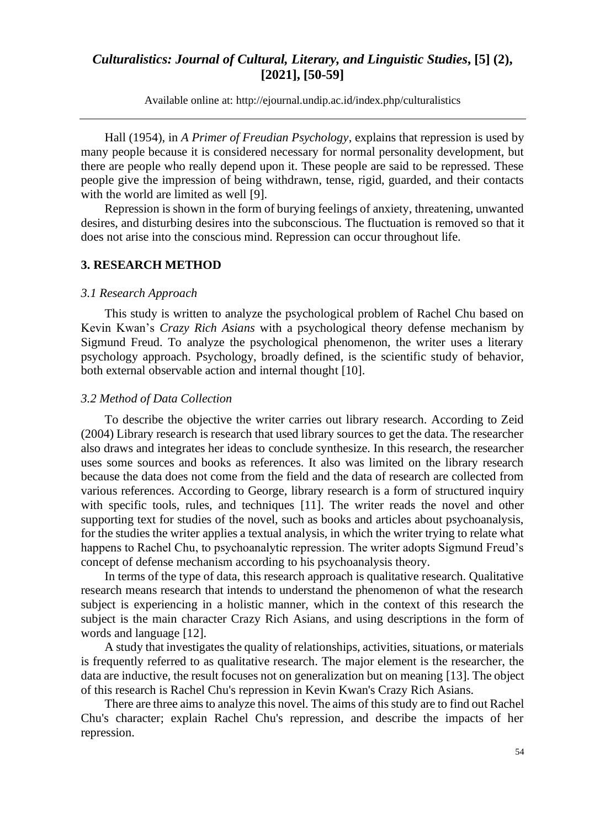Available online at: [http://ejournal.undip.ac.id/index.php/c](http://ejournal.undip.ac.id/index.php/)ulturalistics

Hall (1954), in *A Primer of Freudian Psychology*, explains that repression is used by many people because it is considered necessary for normal personality development, but there are people who really depend upon it. These people are said to be repressed. These people give the impression of being withdrawn, tense, rigid, guarded, and their contacts with the world are limited as well [9].

Repression is shown in the form of burying feelings of anxiety, threatening, unwanted desires, and disturbing desires into the subconscious. The fluctuation is removed so that it does not arise into the conscious mind. Repression can occur throughout life.

### **3. RESEARCH METHOD**

#### *3.1 Research Approach*

This study is written to analyze the psychological problem of Rachel Chu based on Kevin Kwan's *Crazy Rich Asians* with a psychological theory defense mechanism by Sigmund Freud. To analyze the psychological phenomenon, the writer uses a literary psychology approach. Psychology, broadly defined, is the scientific study of behavior, both external observable action and internal thought [10].

### *3.2 Method of Data Collection*

To describe the objective the writer carries out library research. According to Zeid (2004) Library research is research that used library sources to get the data. The researcher also draws and integrates her ideas to conclude synthesize. In this research, the researcher uses some sources and books as references. It also was limited on the library research because the data does not come from the field and the data of research are collected from various references. According to George, library research is a form of structured inquiry with specific tools, rules, and techniques [11]. The writer reads the novel and other supporting text for studies of the novel, such as books and articles about psychoanalysis, for the studies the writer applies a textual analysis, in which the writer trying to relate what happens to Rachel Chu, to psychoanalytic repression. The writer adopts Sigmund Freud's concept of defense mechanism according to his psychoanalysis theory.

In terms of the type of data, this research approach is qualitative research. Qualitative research means research that intends to understand the phenomenon of what the research subject is experiencing in a holistic manner, which in the context of this research the subject is the main character Crazy Rich Asians, and using descriptions in the form of words and language [12].

A study that investigates the quality of relationships, activities, situations, or materials is frequently referred to as qualitative research. The major element is the researcher, the data are inductive, the result focuses not on generalization but on meaning [13]. The object of this research is Rachel Chu's repression in Kevin Kwan's Crazy Rich Asians.

There are three aims to analyze this novel. The aims of this study are to find out Rachel Chu's character; explain Rachel Chu's repression, and describe the impacts of her repression.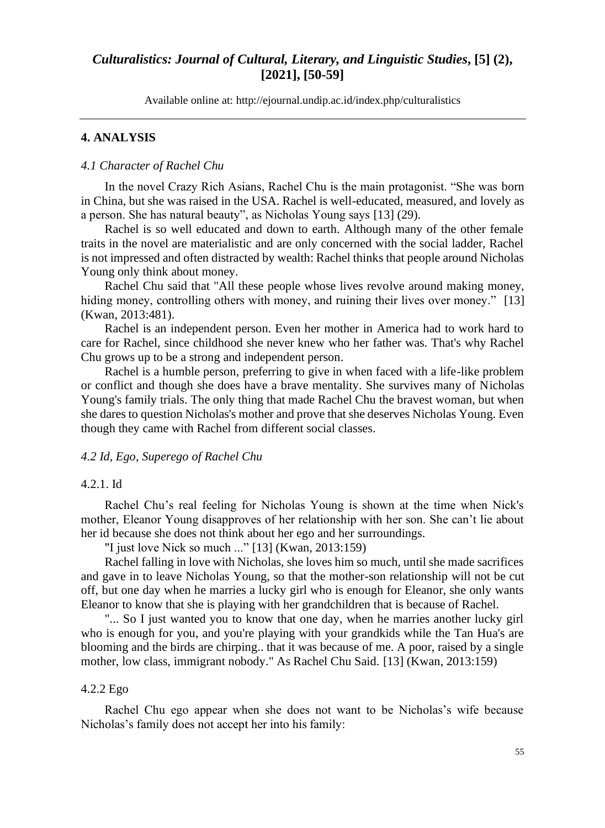Available online at: [http://ejournal.undip.ac.id/index.php/c](http://ejournal.undip.ac.id/index.php/)ulturalistics

# **4. ANALYSIS**

# *4.1 Character of Rachel Chu*

In the novel Crazy Rich Asians, Rachel Chu is the main protagonist. "She was born in China, but she was raised in the USA. Rachel is well-educated, measured, and lovely as a person. She has natural beauty", as Nicholas Young says [13] (29).

Rachel is so well educated and down to earth. Although many of the other female traits in the novel are materialistic and are only concerned with the social ladder, Rachel is not impressed and often distracted by wealth: Rachel thinks that people around Nicholas Young only think about money.

Rachel Chu said that "All these people whose lives revolve around making money, hiding money, controlling others with money, and ruining their lives over money." [13] (Kwan, 2013:481).

Rachel is an independent person. Even her mother in America had to work hard to care for Rachel, since childhood she never knew who her father was. That's why Rachel Chu grows up to be a strong and independent person.

Rachel is a humble person, preferring to give in when faced with a life-like problem or conflict and though she does have a brave mentality. She survives many of Nicholas Young's family trials. The only thing that made Rachel Chu the bravest woman, but when she dares to question Nicholas's mother and prove that she deserves Nicholas Young. Even though they came with Rachel from different social classes.

### *4.2 Id, Ego, Superego of Rachel Chu*

#### 4.2.1. Id

Rachel Chu's real feeling for Nicholas Young is shown at the time when Nick's mother, Eleanor Young disapproves of her relationship with her son. She can't lie about her id because she does not think about her ego and her surroundings.

"I just love Nick so much ..." [13] (Kwan, 2013:159)

Rachel falling in love with Nicholas, she loves him so much, until she made sacrifices and gave in to leave Nicholas Young, so that the mother-son relationship will not be cut off, but one day when he marries a lucky girl who is enough for Eleanor, she only wants Eleanor to know that she is playing with her grandchildren that is because of Rachel.

"... So I just wanted you to know that one day, when he marries another lucky girl who is enough for you, and you're playing with your grandkids while the Tan Hua's are blooming and the birds are chirping.. that it was because of me. A poor, raised by a single mother, low class, immigrant nobody." As Rachel Chu Said. [13] (Kwan, 2013:159)

#### 4.2.2 Ego

Rachel Chu ego appear when she does not want to be Nicholas's wife because Nicholas's family does not accept her into his family: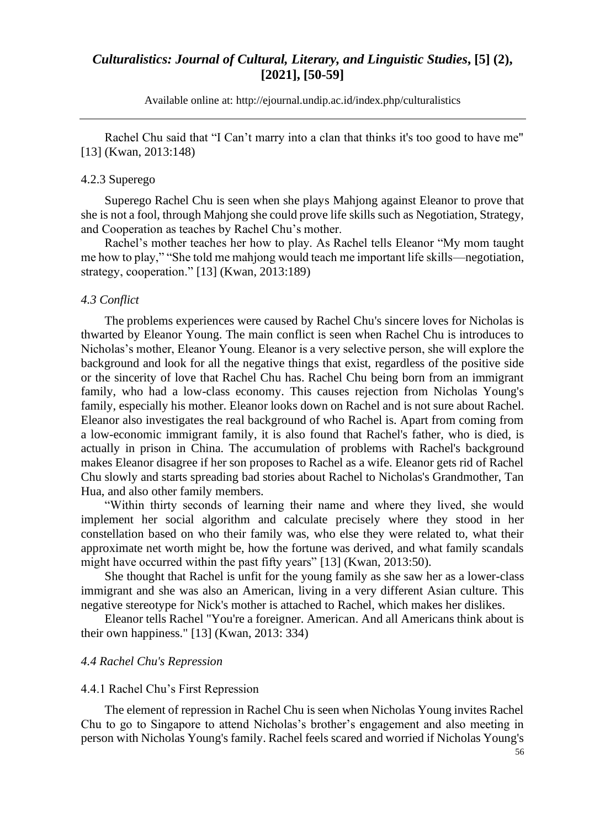Available online at: [http://ejournal.undip.ac.id/index.php/c](http://ejournal.undip.ac.id/index.php/)ulturalistics

Rachel Chu said that "I Can't marry into a clan that thinks it's too good to have me" [13] (Kwan, 2013:148)

#### 4.2.3 Superego

Superego Rachel Chu is seen when she plays Mahjong against Eleanor to prove that she is not a fool, through Mahjong she could prove life skills such as Negotiation, Strategy, and Cooperation as teaches by Rachel Chu's mother.

Rachel's mother teaches her how to play. As Rachel tells Eleanor "My mom taught me how to play," "She told me mahjong would teach me important life skills—negotiation, strategy, cooperation." [13] (Kwan, 2013:189)

#### *4.3 Conflict*

The problems experiences were caused by Rachel Chu's sincere loves for Nicholas is thwarted by Eleanor Young. The main conflict is seen when Rachel Chu is introduces to Nicholas's mother, Eleanor Young. Eleanor is a very selective person, she will explore the background and look for all the negative things that exist, regardless of the positive side or the sincerity of love that Rachel Chu has. Rachel Chu being born from an immigrant family, who had a low-class economy. This causes rejection from Nicholas Young's family, especially his mother. Eleanor looks down on Rachel and is not sure about Rachel. Eleanor also investigates the real background of who Rachel is. Apart from coming from a low-economic immigrant family, it is also found that Rachel's father, who is died, is actually in prison in China. The accumulation of problems with Rachel's background makes Eleanor disagree if her son proposes to Rachel as a wife. Eleanor gets rid of Rachel Chu slowly and starts spreading bad stories about Rachel to Nicholas's Grandmother, Tan Hua, and also other family members.

"Within thirty seconds of learning their name and where they lived, she would implement her social algorithm and calculate precisely where they stood in her constellation based on who their family was, who else they were related to, what their approximate net worth might be, how the fortune was derived, and what family scandals might have occurred within the past fifty years" [13] (Kwan, 2013:50).

She thought that Rachel is unfit for the young family as she saw her as a lower-class immigrant and she was also an American, living in a very different Asian culture. This negative stereotype for Nick's mother is attached to Rachel, which makes her dislikes.

Eleanor tells Rachel "You're a foreigner. American. And all Americans think about is their own happiness." [13] (Kwan, 2013: 334)

### *4.4 Rachel Chu's Repression*

#### 4.4.1 Rachel Chu's First Repression

The element of repression in Rachel Chu is seen when Nicholas Young invites Rachel Chu to go to Singapore to attend Nicholas's brother's engagement and also meeting in person with Nicholas Young's family. Rachel feels scared and worried if Nicholas Young's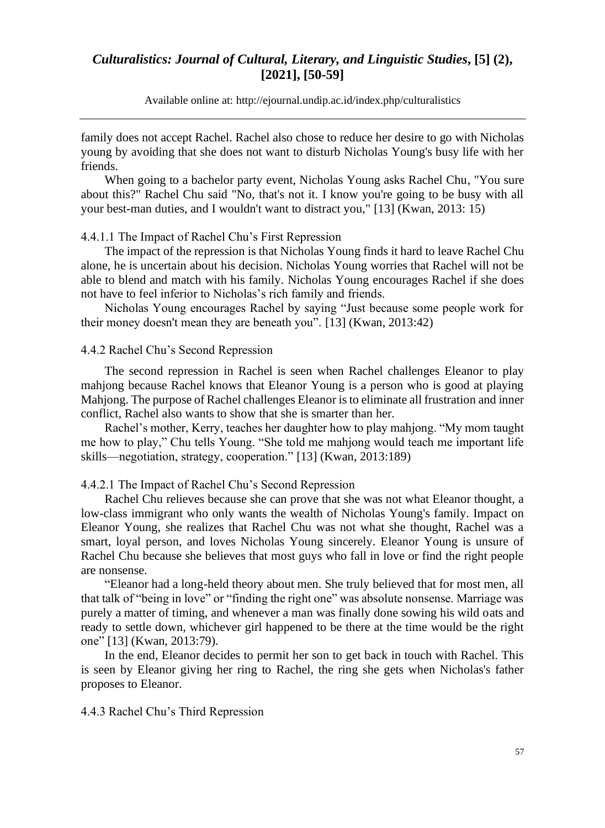Available online at: [http://ejournal.undip.ac.id/index.php/c](http://ejournal.undip.ac.id/index.php/)ulturalistics

family does not accept Rachel. Rachel also chose to reduce her desire to go with Nicholas young by avoiding that she does not want to disturb Nicholas Young's busy life with her friends.

When going to a bachelor party event, Nicholas Young asks Rachel Chu, "You sure about this?" Rachel Chu said "No, that's not it. I know you're going to be busy with all your best-man duties, and I wouldn't want to distract you," [13] (Kwan, 2013: 15)

#### 4.4.1.1 The Impact of Rachel Chu's First Repression

The impact of the repression is that Nicholas Young finds it hard to leave Rachel Chu alone, he is uncertain about his decision. Nicholas Young worries that Rachel will not be able to blend and match with his family. Nicholas Young encourages Rachel if she does not have to feel inferior to Nicholas's rich family and friends.

Nicholas Young encourages Rachel by saying "Just because some people work for their money doesn't mean they are beneath you". [13] (Kwan, 2013:42)

### 4.4.2 Rachel Chu's Second Repression

The second repression in Rachel is seen when Rachel challenges Eleanor to play mahjong because Rachel knows that Eleanor Young is a person who is good at playing Mahjong. The purpose of Rachel challenges Eleanor is to eliminate all frustration and inner conflict, Rachel also wants to show that she is smarter than her.

Rachel's mother, Kerry, teaches her daughter how to play mahjong. "My mom taught me how to play," Chu tells Young. "She told me mahjong would teach me important life skills—negotiation, strategy, cooperation." [13] (Kwan, 2013:189)

4.4.2.1 The Impact of Rachel Chu's Second Repression

Rachel Chu relieves because she can prove that she was not what Eleanor thought, a low-class immigrant who only wants the wealth of Nicholas Young's family. Impact on Eleanor Young, she realizes that Rachel Chu was not what she thought, Rachel was a smart, loyal person, and loves Nicholas Young sincerely. Eleanor Young is unsure of Rachel Chu because she believes that most guys who fall in love or find the right people are nonsense.

"Eleanor had a long-held theory about men. She truly believed that for most men, all that talk of "being in love" or "finding the right one" was absolute nonsense. Marriage was purely a matter of timing, and whenever a man was finally done sowing his wild oats and ready to settle down, whichever girl happened to be there at the time would be the right one" [13] (Kwan, 2013:79).

In the end, Eleanor decides to permit her son to get back in touch with Rachel. This is seen by Eleanor giving her ring to Rachel, the ring she gets when Nicholas's father proposes to Eleanor.

4.4.3 Rachel Chu's Third Repression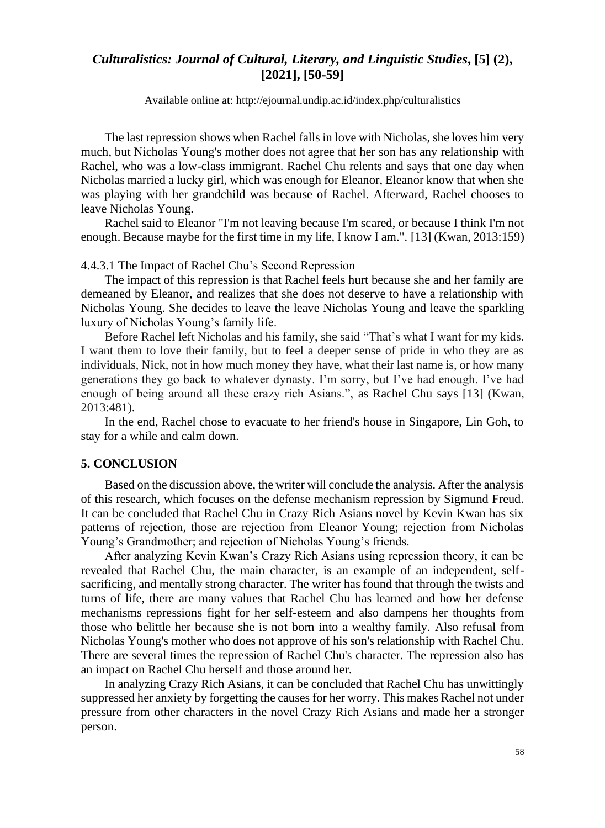Available online at: [http://ejournal.undip.ac.id/index.php/c](http://ejournal.undip.ac.id/index.php/)ulturalistics

The last repression shows when Rachel falls in love with Nicholas, she loves him very much, but Nicholas Young's mother does not agree that her son has any relationship with Rachel, who was a low-class immigrant. Rachel Chu relents and says that one day when Nicholas married a lucky girl, which was enough for Eleanor, Eleanor know that when she was playing with her grandchild was because of Rachel. Afterward, Rachel chooses to leave Nicholas Young.

Rachel said to Eleanor "I'm not leaving because I'm scared, or because I think I'm not enough. Because maybe for the first time in my life, I know I am.". [13] (Kwan, 2013:159)

### 4.4.3.1 The Impact of Rachel Chu's Second Repression

The impact of this repression is that Rachel feels hurt because she and her family are demeaned by Eleanor, and realizes that she does not deserve to have a relationship with Nicholas Young. She decides to leave the leave Nicholas Young and leave the sparkling luxury of Nicholas Young's family life.

Before Rachel left Nicholas and his family, she said "That's what I want for my kids. I want them to love their family, but to feel a deeper sense of pride in who they are as individuals, Nick, not in how much money they have, what their last name is, or how many generations they go back to whatever dynasty. I'm sorry, but I've had enough. I've had enough of being around all these crazy rich Asians.", as Rachel Chu says [13] (Kwan, 2013:481).

In the end, Rachel chose to evacuate to her friend's house in Singapore, Lin Goh, to stay for a while and calm down.

#### **5. CONCLUSION**

Based on the discussion above, the writer will conclude the analysis. After the analysis of this research, which focuses on the defense mechanism repression by Sigmund Freud. It can be concluded that Rachel Chu in Crazy Rich Asians novel by Kevin Kwan has six patterns of rejection, those are rejection from Eleanor Young; rejection from Nicholas Young's Grandmother; and rejection of Nicholas Young's friends.

After analyzing Kevin Kwan's Crazy Rich Asians using repression theory, it can be revealed that Rachel Chu, the main character, is an example of an independent, selfsacrificing, and mentally strong character. The writer has found that through the twists and turns of life, there are many values that Rachel Chu has learned and how her defense mechanisms repressions fight for her self-esteem and also dampens her thoughts from those who belittle her because she is not born into a wealthy family. Also refusal from Nicholas Young's mother who does not approve of his son's relationship with Rachel Chu. There are several times the repression of Rachel Chu's character. The repression also has an impact on Rachel Chu herself and those around her.

In analyzing Crazy Rich Asians, it can be concluded that Rachel Chu has unwittingly suppressed her anxiety by forgetting the causes for her worry. This makes Rachel not under pressure from other characters in the novel Crazy Rich Asians and made her a stronger person.